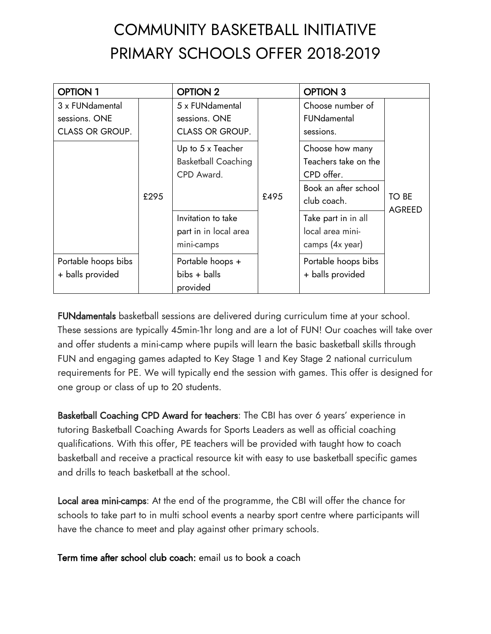# COMMUNITY BASKETBALL INITIATIVE PRIMARY SCHOOLS OFFER 2018-2019

| <b>OPTION 1</b>                                            |      | <b>OPTION 2</b>                                               |      | <b>OPTION 3</b>                                                                              |               |
|------------------------------------------------------------|------|---------------------------------------------------------------|------|----------------------------------------------------------------------------------------------|---------------|
| 3 x FUNdamental<br>sessions. ONE<br><b>CLASS OR GROUP.</b> | £295 | 5 x FUNdamental<br>sessions. ONE<br><b>CLASS OR GROUP.</b>    | £495 | Choose number of<br>FUNdamental<br>sessions.                                                 | TO BE         |
|                                                            |      | Up to 5 x Teacher<br><b>Basketball Coaching</b><br>CPD Award. |      | Choose how many<br>Teachers take on the<br>CPD offer.<br>Book an after school<br>club coach. |               |
|                                                            |      | Invitation to take<br>part in in local area<br>mini-camps     |      | Take part in in all<br>local area mini-<br>camps (4x year)                                   | <b>AGREED</b> |
| Portable hoops bibs<br>+ balls provided                    |      | Portable hoops +<br>bibs + balls<br>provided                  |      | Portable hoops bibs<br>+ balls provided                                                      |               |

FUNdamentals basketball sessions are delivered during curriculum time at your school. These sessions are typically 45min-1hr long and are a lot of FUN! Our coaches will take over and offer students a mini-camp where pupils will learn the basic basketball skills through FUN and engaging games adapted to Key Stage 1 and Key Stage 2 national curriculum requirements for PE. We will typically end the session with games. This offer is designed for one group or class of up to 20 students.

Basketball Coaching CPD Award for teachers: The CBI has over 6 years' experience in tutoring Basketball Coaching Awards for Sports Leaders as well as official coaching qualifications. With this offer, PE teachers will be provided with taught how to coach basketball and receive a practical resource kit with easy to use basketball specific games and drills to teach basketball at the school.

Local area mini-camps: At the end of the programme, the CBI will offer the chance for schools to take part to in multi school events a nearby sport centre where participants will have the chance to meet and play against other primary schools.

Term time after school club coach: email us to book a coach